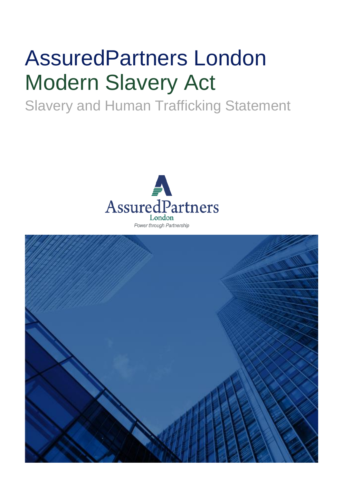# AssuredPartners London Modern Slavery Act

# Slavery and Human Trafficking Statement



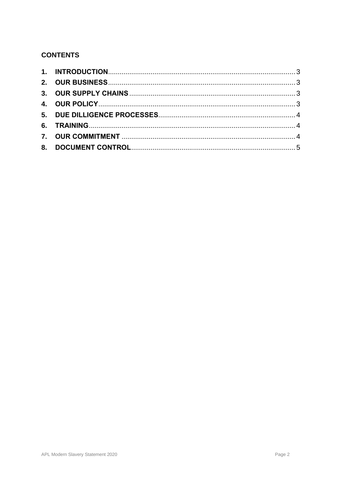## **CONTENTS**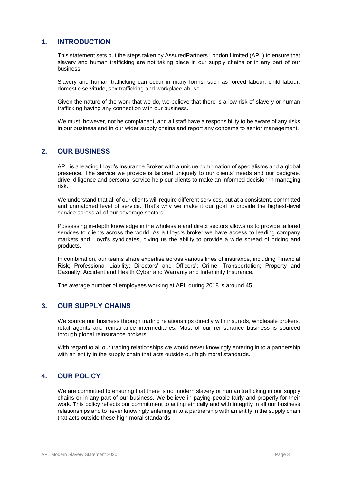#### <span id="page-2-0"></span>**1. INTRODUCTION**

This statement sets out the steps taken by AssuredPartners London Limited (APL) to ensure that slavery and human trafficking are not taking place in our supply chains or in any part of our business.

Slavery and human trafficking can occur in many forms, such as forced labour, child labour, domestic servitude, sex trafficking and workplace abuse.

Given the nature of the work that we do, we believe that there is a low risk of slavery or human trafficking having any connection with our business.

We must, however, not be complacent, and all staff have a responsibility to be aware of any risks in our business and in our wider supply chains and report any concerns to senior management.

#### <span id="page-2-1"></span>**2. OUR BUSINESS**

APL is a leading Lloyd's Insurance Broker with a unique combination of specialisms and a global presence. The service we provide is tailored uniquely to our clients' needs and our pedigree, drive, diligence and personal service help our clients to make an informed decision in managing risk.

We understand that all of our clients will require different services, but at a consistent, committed and unmatched level of service. That's why we make it our goal to provide the highest-level service across all of our coverage sectors.

Possessing in-depth knowledge in the wholesale and direct sectors allows us to provide tailored services to clients across the world. As a Lloyd's broker we have access to leading company markets and Lloyd's syndicates, giving us the ability to provide a wide spread of pricing and products.

In combination, our teams share expertise across various lines of insurance, including Financial Risk; Professional Liability; Directors' and Officers'; Crime; Transportation; Property and Casualty; Accident and Health Cyber and Warranty and Indemnity Insurance.

The average number of employees working at APL during 2018 is around 45.

#### <span id="page-2-2"></span>**3. OUR SUPPLY CHAINS**

We source our business through trading relationships directly with insureds, wholesale brokers, retail agents and reinsurance intermediaries. Most of our reinsurance business is sourced through global reinsurance brokers.

With regard to all our trading relationships we would never knowingly entering in to a partnership with an entity in the supply chain that acts outside our high moral standards.

#### <span id="page-2-3"></span>**4. OUR POLICY**

We are committed to ensuring that there is no modern slavery or human trafficking in our supply chains or in any part of our business. We believe in paying people fairly and properly for their work. This policy reflects our commitment to acting ethically and with integrity in all our business relationships and to never knowingly entering in to a partnership with an entity in the supply chain that acts outside these high moral standards.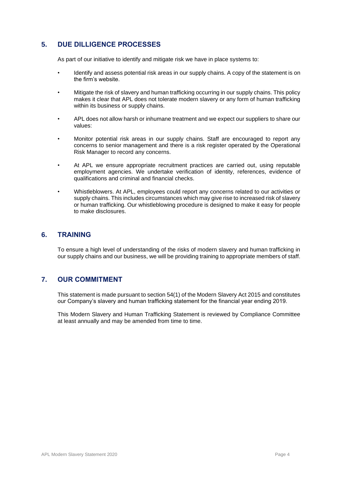#### <span id="page-3-0"></span>**5. DUE DILLIGENCE PROCESSES**

As part of our initiative to identify and mitigate risk we have in place systems to:

- Identify and assess potential risk areas in our supply chains. A copy of the statement is on the firm's website.
- Mitigate the risk of slavery and human trafficking occurring in our supply chains. This policy makes it clear that APL does not tolerate modern slavery or any form of human trafficking within its business or supply chains.
- APL does not allow harsh or inhumane treatment and we expect our suppliers to share our values:
- Monitor potential risk areas in our supply chains. Staff are encouraged to report any concerns to senior management and there is a risk register operated by the Operational Risk Manager to record any concerns.
- At APL we ensure appropriate recruitment practices are carried out, using reputable employment agencies. We undertake verification of identity, references, evidence of qualifications and criminal and financial checks.
- Whistleblowers. At APL, employees could report any concerns related to our activities or supply chains. This includes circumstances which may give rise to increased risk of slavery or human trafficking. Our whistleblowing procedure is designed to make it easy for people to make disclosures.

#### <span id="page-3-1"></span>**6. TRAINING**

To ensure a high level of understanding of the risks of modern slavery and human trafficking in our supply chains and our business, we will be providing training to appropriate members of staff.

#### <span id="page-3-2"></span>**7. OUR COMMITMENT**

This statement is made pursuant to section 54(1) of the Modern Slavery Act 2015 and constitutes our Company's slavery and human trafficking statement for the financial year ending 2019.

This Modern Slavery and Human Trafficking Statement is reviewed by Compliance Committee at least annually and may be amended from time to time.